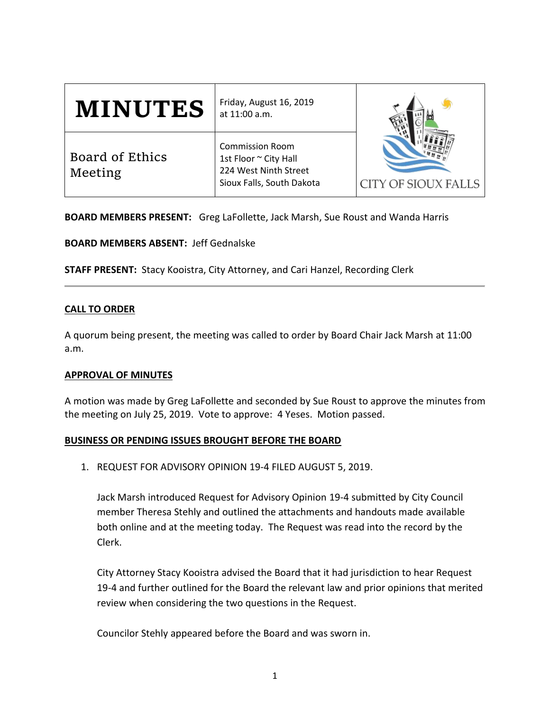| <b>MINUTES</b>             | Friday, August 16, 2019<br>at 11:00 a.m.                                                              | CITY OF SIOUX FALLS |
|----------------------------|-------------------------------------------------------------------------------------------------------|---------------------|
| Board of Ethics<br>Meeting | <b>Commission Room</b><br>1st Floor ~ City Hall<br>224 West Ninth Street<br>Sioux Falls, South Dakota |                     |

**BOARD MEMBERS PRESENT:** Greg LaFollette, Jack Marsh, Sue Roust and Wanda Harris

**BOARD MEMBERS ABSENT:** Jeff Gednalske

**STAFF PRESENT:** Stacy Kooistra, City Attorney, and Cari Hanzel, Recording Clerk

## **CALL TO ORDER**

A quorum being present, the meeting was called to order by Board Chair Jack Marsh at 11:00 a.m.

### **APPROVAL OF MINUTES**

A motion was made by Greg LaFollette and seconded by Sue Roust to approve the minutes from the meeting on July 25, 2019. Vote to approve: 4 Yeses. Motion passed.

### **BUSINESS OR PENDING ISSUES BROUGHT BEFORE THE BOARD**

1. REQUEST FOR ADVISORY OPINION 19-4 FILED AUGUST 5, 2019.

Jack Marsh introduced Request for Advisory Opinion 19-4 submitted by City Council member Theresa Stehly and outlined the attachments and handouts made available both online and at the meeting today. The Request was read into the record by the Clerk.

City Attorney Stacy Kooistra advised the Board that it had jurisdiction to hear Request 19-4 and further outlined for the Board the relevant law and prior opinions that merited review when considering the two questions in the Request.

Councilor Stehly appeared before the Board and was sworn in.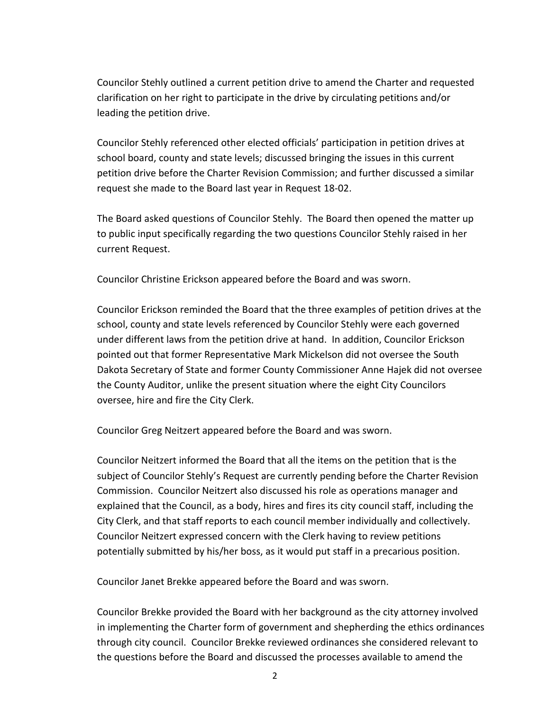Councilor Stehly outlined a current petition drive to amend the Charter and requested clarification on her right to participate in the drive by circulating petitions and/or leading the petition drive.

Councilor Stehly referenced other elected officials' participation in petition drives at school board, county and state levels; discussed bringing the issues in this current petition drive before the Charter Revision Commission; and further discussed a similar request she made to the Board last year in Request 18-02.

The Board asked questions of Councilor Stehly. The Board then opened the matter up to public input specifically regarding the two questions Councilor Stehly raised in her current Request.

Councilor Christine Erickson appeared before the Board and was sworn.

Councilor Erickson reminded the Board that the three examples of petition drives at the school, county and state levels referenced by Councilor Stehly were each governed under different laws from the petition drive at hand. In addition, Councilor Erickson pointed out that former Representative Mark Mickelson did not oversee the South Dakota Secretary of State and former County Commissioner Anne Hajek did not oversee the County Auditor, unlike the present situation where the eight City Councilors oversee, hire and fire the City Clerk.

Councilor Greg Neitzert appeared before the Board and was sworn.

Councilor Neitzert informed the Board that all the items on the petition that is the subject of Councilor Stehly's Request are currently pending before the Charter Revision Commission. Councilor Neitzert also discussed his role as operations manager and explained that the Council, as a body, hires and fires its city council staff, including the City Clerk, and that staff reports to each council member individually and collectively. Councilor Neitzert expressed concern with the Clerk having to review petitions potentially submitted by his/her boss, as it would put staff in a precarious position.

Councilor Janet Brekke appeared before the Board and was sworn.

Councilor Brekke provided the Board with her background as the city attorney involved in implementing the Charter form of government and shepherding the ethics ordinances through city council. Councilor Brekke reviewed ordinances she considered relevant to the questions before the Board and discussed the processes available to amend the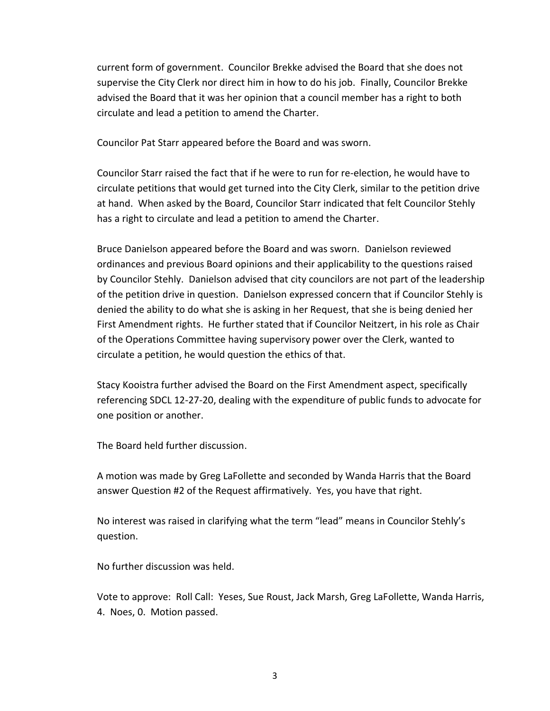current form of government. Councilor Brekke advised the Board that she does not supervise the City Clerk nor direct him in how to do his job. Finally, Councilor Brekke advised the Board that it was her opinion that a council member has a right to both circulate and lead a petition to amend the Charter.

Councilor Pat Starr appeared before the Board and was sworn.

Councilor Starr raised the fact that if he were to run for re-election, he would have to circulate petitions that would get turned into the City Clerk, similar to the petition drive at hand. When asked by the Board, Councilor Starr indicated that felt Councilor Stehly has a right to circulate and lead a petition to amend the Charter.

Bruce Danielson appeared before the Board and was sworn. Danielson reviewed ordinances and previous Board opinions and their applicability to the questions raised by Councilor Stehly. Danielson advised that city councilors are not part of the leadership of the petition drive in question. Danielson expressed concern that if Councilor Stehly is denied the ability to do what she is asking in her Request, that she is being denied her First Amendment rights. He further stated that if Councilor Neitzert, in his role as Chair of the Operations Committee having supervisory power over the Clerk, wanted to circulate a petition, he would question the ethics of that.

Stacy Kooistra further advised the Board on the First Amendment aspect, specifically referencing SDCL 12-27-20, dealing with the expenditure of public funds to advocate for one position or another.

The Board held further discussion.

A motion was made by Greg LaFollette and seconded by Wanda Harris that the Board answer Question #2 of the Request affirmatively. Yes, you have that right.

No interest was raised in clarifying what the term "lead" means in Councilor Stehly's question.

No further discussion was held.

Vote to approve: Roll Call: Yeses, Sue Roust, Jack Marsh, Greg LaFollette, Wanda Harris, 4. Noes, 0. Motion passed.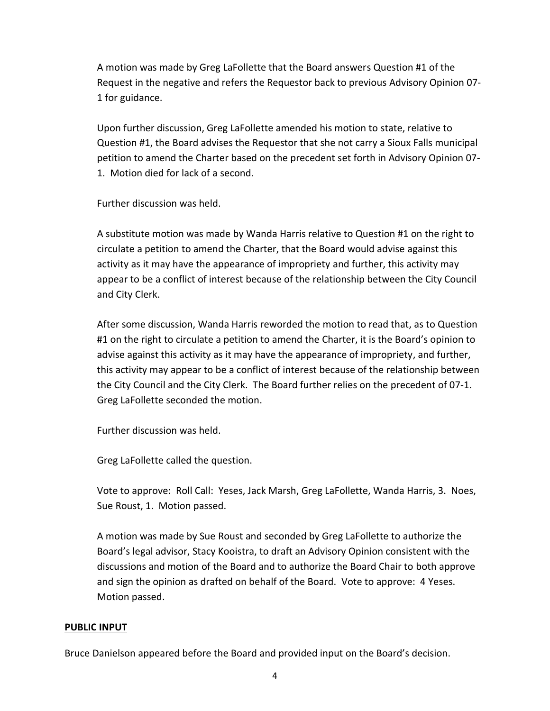A motion was made by Greg LaFollette that the Board answers Question #1 of the Request in the negative and refers the Requestor back to previous Advisory Opinion 07- 1 for guidance.

Upon further discussion, Greg LaFollette amended his motion to state, relative to Question #1, the Board advises the Requestor that she not carry a Sioux Falls municipal petition to amend the Charter based on the precedent set forth in Advisory Opinion 07- 1. Motion died for lack of a second.

Further discussion was held.

A substitute motion was made by Wanda Harris relative to Question #1 on the right to circulate a petition to amend the Charter, that the Board would advise against this activity as it may have the appearance of impropriety and further, this activity may appear to be a conflict of interest because of the relationship between the City Council and City Clerk.

After some discussion, Wanda Harris reworded the motion to read that, as to Question #1 on the right to circulate a petition to amend the Charter, it is the Board's opinion to advise against this activity as it may have the appearance of impropriety, and further, this activity may appear to be a conflict of interest because of the relationship between the City Council and the City Clerk. The Board further relies on the precedent of 07-1. Greg LaFollette seconded the motion.

Further discussion was held.

Greg LaFollette called the question.

Vote to approve: Roll Call: Yeses, Jack Marsh, Greg LaFollette, Wanda Harris, 3. Noes, Sue Roust, 1. Motion passed.

A motion was made by Sue Roust and seconded by Greg LaFollette to authorize the Board's legal advisor, Stacy Kooistra, to draft an Advisory Opinion consistent with the discussions and motion of the Board and to authorize the Board Chair to both approve and sign the opinion as drafted on behalf of the Board. Vote to approve: 4 Yeses. Motion passed.

## **PUBLIC INPUT**

Bruce Danielson appeared before the Board and provided input on the Board's decision.